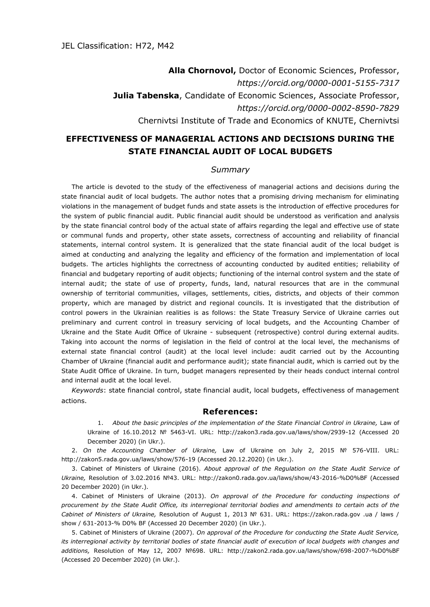## **Alla Chornovol,** Doctor of Economic Sciences, Professor, *https://orcid.org/0000-0001-5155-7317* **Julia Tabenska**, Candidate of Economic Sciences, Associate Professor, *https://orcid.org/0000-0002-8590-7829* Chernivtsi Institute of Trade and Economics of KNUTE, Chernivtsi

## **EFFECTIVENESS OF MANAGERIAL ACTIONS AND DECISIONS DURING THE STATE FINANCIAL AUDIT OF LOCAL BUDGETS**

## *Summary*

The article is devoted to the study of the effectiveness of managerial actions and decisions during the state financial audit of local budgets. The author notes that a promising driving mechanism for eliminating violations in the management of budget funds and state assets is the introduction of effective procedures for the system of public financial audit. Public financial audit should be understood as verification and analysis by the state financial control body of the actual state of affairs regarding the legal and effective use of state or communal funds and property, other state assets, correctness of accounting and reliability of financial statements, internal control system. It is generalized that the state financial audit of the local budget is aimed at conducting and analyzing the legality and efficiency of the formation and implementation of local budgets. The articles highlights the correctness of accounting conducted by audited entities; reliability of financial and budgetary reporting of audit objects; functioning of the internal control system and the state of internal audit; the state of use of property, funds, land, natural resources that are in the communal ownership of territorial communities, villages, settlements, cities, districts, and objects of their common property, which are managed by district and regional councils. It is investigated that the distribution of control powers in the Ukrainian realities is as follows: the State Treasury Service of Ukraine carries out preliminary and current control in treasury servicing of local budgets, and the Accounting Chamber of Ukraine and the State Audit Office of Ukraine - subsequent (retrospective) control during external audits. Taking into account the norms of legislation in the field of control at the local level, the mechanisms of external state financial control (audit) at the local level include: audit carried out by the Accounting Chamber of Ukraine (financial audit and performance audit); state financial audit, which is carried out by the State Audit Office of Ukraine. In turn, budget managers represented by their heads conduct internal control and internal audit at the local level.

*Keywords*: state financial control, state financial audit, local budgets, effectiveness of management actions.

## **References:**

1. About the basic principles of the implementation of the State Financial Control in Ukraine, Law of Ukraine of 16.10.2012 № 5463-VI. URL: http://zakon3.rada.gov.ua/laws/show/2939-12 (Accessed 20 December 2020) (in Ukr.).

2. *On the Accounting Chamber of Ukraine,* Law of Ukraine on July 2, 2015 № 576-VIII. URL: http://zakon5.rada.gov.ua/laws/show/576-19 (Accessed 20.12.2020) (in Ukr.).

3. Cabinet of Ministers of Ukraine (2016). *About approval of the Regulation on the State Audit Service of Ukraine,* Resolution of 3.02.2016 №43. URL: http://zakon0.rada.gov.ua/laws/show/43-2016-%D0%BF (Accessed 20 December 2020) (in Ukr.).

4. Cabinet of Ministers of Ukraine (2013). *On approval of the Procedure for conducting inspections of procurement by the State Audit Office, its interregional territorial bodies and amendments to certain acts of the Cabinet of Ministers of Ukraine,* Resolution of August 1, 2013 № 631. URL: https://zakon.rada.gov .ua / laws / show / 631-2013-% D0% BF (Accessed 20 December 2020) (in Ukr.).

5. Cabinet of Ministers of Ukraine (2007). *On approval of the Procedure for conducting the State Audit Service, its interregional activity by territorial bodies of state financial audit of execution of local budgets with changes and additions,* Resolution of May 12, 2007 №698. URL: http://zakon2.rada.gov.ua/laws/show/698-2007-%D0%BF (Accessed 20 December 2020) (in Ukr.).